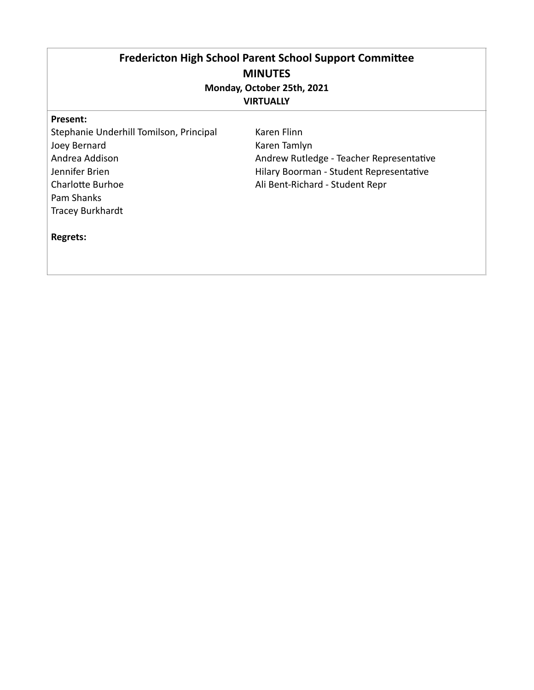# Fredericton High School Parent School Support Committee **MINUTES Monday, October 25th, 2021 VIRTUALLY**

#### **Present:**

Stephanie Underhill Tomilson, Principal Joey Bernard Andrea Addison Jennifer Brien Charlotte Burhoe Pam Shanks Tracey Burkhardt

Karen Flinn Karen Tamlyn Andrew Rutledge - Teacher Representative Hilary Boorman - Student Representative Ali Bent-Richard - Student Repr

# **Regrets:**